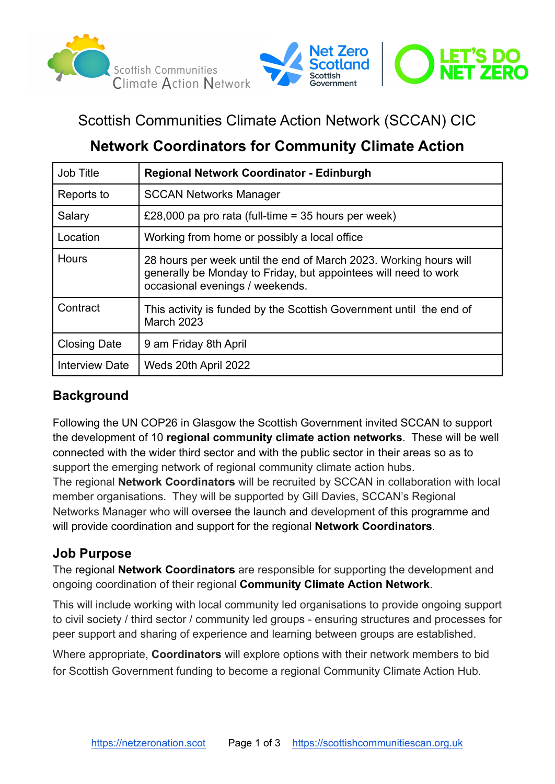



# Scottish Communities Climate Action Network (SCCAN) CIC

# **Network Coordinators for Community Climate Action**

| Job Title             | <b>Regional Network Coordinator - Edinburgh</b>                                                                                                                         |
|-----------------------|-------------------------------------------------------------------------------------------------------------------------------------------------------------------------|
| Reports to            | <b>SCCAN Networks Manager</b>                                                                                                                                           |
| Salary                | £28,000 pa pro rata (full-time = 35 hours per week)                                                                                                                     |
| Location              | Working from home or possibly a local office                                                                                                                            |
| <b>Hours</b>          | 28 hours per week until the end of March 2023. Working hours will<br>generally be Monday to Friday, but appointees will need to work<br>occasional evenings / weekends. |
| Contract              | This activity is funded by the Scottish Government until the end of<br><b>March 2023</b>                                                                                |
| <b>Closing Date</b>   | 9 am Friday 8th April                                                                                                                                                   |
| <b>Interview Date</b> | Weds 20th April 2022                                                                                                                                                    |

## **Background**

Following the UN COP26 in Glasgow the Scottish Government invited SCCAN to support the development of 10 **regional community climate action networks**. These will be well connected with the wider third sector and with the public sector in their areas so as to support the emerging network of regional community climate action hubs.

The regional **Network Coordinators** will be recruited by SCCAN in collaboration with local member organisations. They will be supported by Gill Davies, SCCAN's Regional Networks Manager who will oversee the launch and development of this programme and will provide coordination and support for the regional **Network Coordinators**.

### **Job Purpose**

The regional **Network Coordinators** are responsible for supporting the development and ongoing coordination of their regional **Community Climate Action Network**.

This will include working with local community led organisations to provide ongoing support to civil society / third sector / community led groups - ensuring structures and processes for peer support and sharing of experience and learning between groups are established.

Where appropriate, **Coordinators** will explore options with their network members to bid for Scottish Government funding to become a regional Community Climate Action Hub.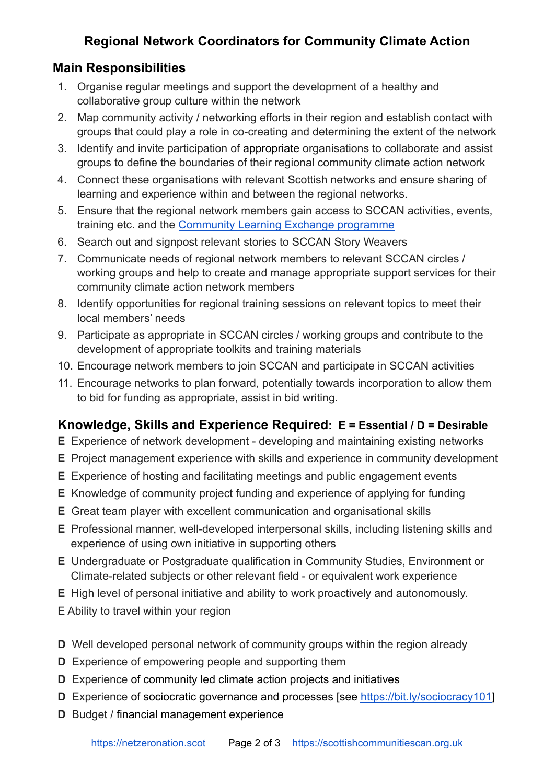### **Regional Network Coordinators for Community Climate Action**

#### **Main Responsibilities**

- 1. Organise regular meetings and support the development of a healthy and collaborative group culture within the network
- 2. Map community activity / networking efforts in their region and establish contact with groups that could play a role in co-creating and determining the extent of the network
- 3. Identify and invite participation of appropriate organisations to collaborate and assist groups to define the boundaries of their regional community climate action network
- 4. Connect these organisations with relevant Scottish networks and ensure sharing of learning and experience within and between the regional networks.
- 5. Ensure that the regional network members gain access to SCCAN activities, events, training etc. and the [Community Learning Exchange](https://www.scottishcommunitiescan.org.uk/community-learning-exchange/) programme
- 6. Search out and signpost relevant stories to SCCAN Story Weavers
- 7. Communicate needs of regional network members to relevant SCCAN circles / working groups and help to create and manage appropriate support services for their community climate action network members
- 8. Identify opportunities for regional training sessions on relevant topics to meet their local members' needs
- 9. Participate as appropriate in SCCAN circles / working groups and contribute to the development of appropriate toolkits and training materials
- 10. Encourage network members to join SCCAN and participate in SCCAN activities
- 11. Encourage networks to plan forward, potentially towards incorporation to allow them to bid for funding as appropriate, assist in bid writing.

## **Knowledge, Skills and Experience Required: E = Essential / D = Desirable**

- **E** Experience of network development developing and maintaining existing networks
- **E** Project management experience with skills and experience in community development
- **E** Experience of hosting and facilitating meetings and public engagement events
- **E** Knowledge of community project funding and experience of applying for funding
- **E** Great team player with excellent communication and organisational skills
- **E** Professional manner, well-developed interpersonal skills, including listening skills and experience of using own initiative in supporting others
- **E** Undergraduate or Postgraduate qualification in Community Studies, Environment or Climate-related subjects or other relevant field - or equivalent work experience
- **E** High level of personal initiative and ability to work proactively and autonomously.
- E Ability to travel within your region
- **D** Well developed personal network of community groups within the region already
- **D** Experience of empowering people and supporting them
- **D** Experience of community led climate action projects and initiatives
- **D** Experience of sociocratic governance and processes [see <https://bit.ly/sociocracy101>]
- **D** Budget / financial management experience